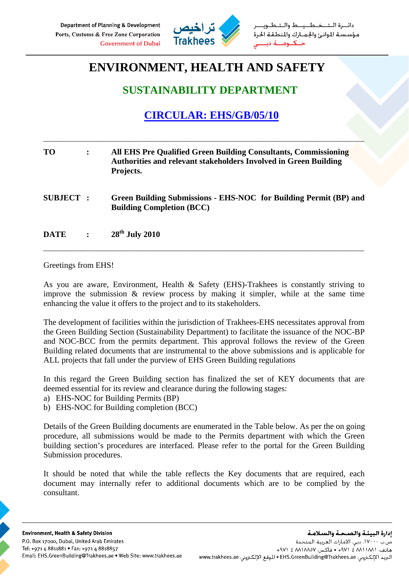

طــيــط والــتـ مؤسستة الموانئ والجمارك والمنطقة الحرة حنكنوم

## **ENVIRONMENT, HEALTH AND SAFETY**

## **SUSTAINABILITY DEPARTMENT**

## **CIRCULAR: EHS/GB/05/10**

| <b>TO</b>       | $\ddot{\cdot}$ | All EHS Pre Qualified Green Building Consultants, Commissioning<br><b>Authorities and relevant stakeholders Involved in Green Building</b><br>Projects. |
|-----------------|----------------|---------------------------------------------------------------------------------------------------------------------------------------------------------|
| <b>SUBJECT:</b> |                | Green Building Submissions - EHS-NOC for Building Permit (BP) and<br><b>Building Completion (BCC)</b>                                                   |
| <b>DATE</b>     | $\ddot{\cdot}$ | $28th$ July 2010                                                                                                                                        |

\_\_\_\_\_\_\_\_\_\_\_\_\_\_\_\_\_\_\_\_\_\_\_\_\_\_\_\_\_\_\_\_\_\_\_\_\_\_\_\_\_\_\_\_\_\_\_\_\_\_\_\_\_\_\_\_\_\_\_\_\_\_\_\_\_\_\_\_\_\_\_\_\_\_\_\_\_\_\_\_\_\_\_\_\_

Greetings from EHS!

As you are aware, Environment, Health & Safety (EHS)-Trakhees is constantly striving to improve the submission & review process by making it simpler, while at the same time enhancing the value it offers to the project and to its stakeholders.

The development of facilities within the jurisdiction of Trakhees-EHS necessitates approval from the Green Building Section (Sustainability Department) to facilitate the issuance of the NOC-BP and NOC-BCC from the permits department. This approval follows the review of the Green Building related documents that are instrumental to the above submissions and is applicable for ALL projects that fall under the purview of EHS Green Building regulations

In this regard the Green Building section has finalized the set of KEY documents that are deemed essential for its review and clearance during the following stages:

- a) EHS-NOC for Building Permits (BP)
- b) EHS-NOC for Building completion (BCC)

Details of the Green Building documents are enumerated in the Table below. As per the on going procedure, all submissions would be made to the Permits department with which the Green building section's procedures are interfaced. Please refer to the portal for the Green Building Submission procedures.

It should be noted that while the table reflects the Key documents that are required, each document may internally refer to additional documents which are to be complied by the consultant.